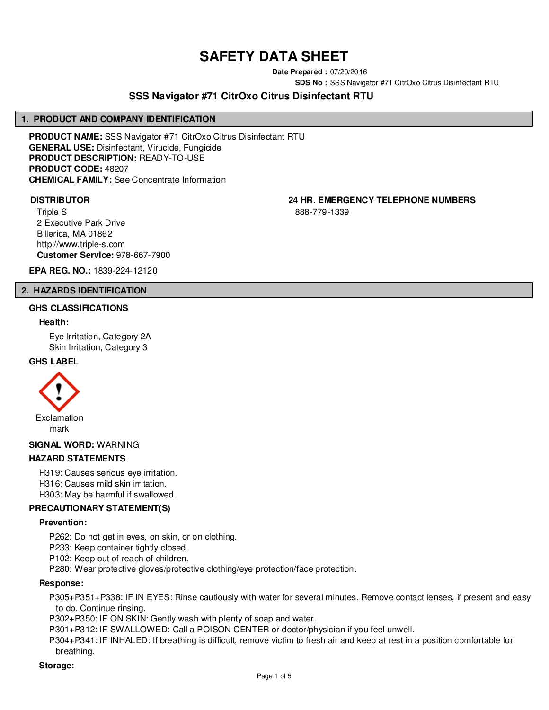## **SAFETY DATA SHEET**

**Date Prepared :** 07/20/2016

**SDS No :** SSS Navigator #71 CitrOxo Citrus Disinfectant RTU

### **SSS Navigator #71 CitrOxo Citrus Disinfectant RTU**

#### **1. PRODUCT AND COMPANY IDENTIFICATION**

**PRODUCT NAME:** SSS Navigator #71 CitrOxo Citrus Disinfectant RTU **GENERAL USE:** Disinfectant, Virucide, Fungicide **PRODUCT DESCRIPTION:** READY-TO-USE **PRODUCT CODE:** 48207 **CHEMICAL FAMILY:** See Concentrate Information

Triple S 2 Executive Park Drive Billerica, MA 01862 http://www.triple-s.com **Customer Service:** 978-667-7900

**DISTRIBUTOR 24 HR. EMERGENCY TELEPHONE NUMBERS**

888-779-1339

**EPA REG. NO.:** 1839-224-12120

#### **2. HAZARDS IDENTIFICATION**

#### **GHS CLASSIFICATIONS**

#### **Health:**

Eye Irritation, Category 2A Skin Irritation, Category 3

#### **GHS LABEL**



**SIGNAL WORD:** WARNING

#### **HAZARD STATEMENTS**

H319: Causes serious eye irritation.

H316: Causes mild skin irritation. H303: May be harmful if swallowed.

### **PRECAUTIONARY STATEMENT(S)**

#### **Prevention:**

P262: Do not get in eyes, on skin, or on clothing.

P233: Keep container tightly closed.

P102: Keep out of reach of children.

P280: Wear protective gloves/protective clothing/eye protection/face protection.

#### **Response:**

P305+P351+P338: IF IN EYES: Rinse cautiously with water for several minutes. Remove contact lenses, if present and easy to do. Continue rinsing.

P302+P350: IF ON SKIN: Gently wash with plenty of soap and water.

P301+P312: IF SWALLOWED: Call a POISON CENTER or doctor/physician if you feel unwell.

P304+P341: IF INHALED: If breathing is difficult, remove victim to fresh air and keep at rest in a position comfortable for breathing.

#### **Storage:**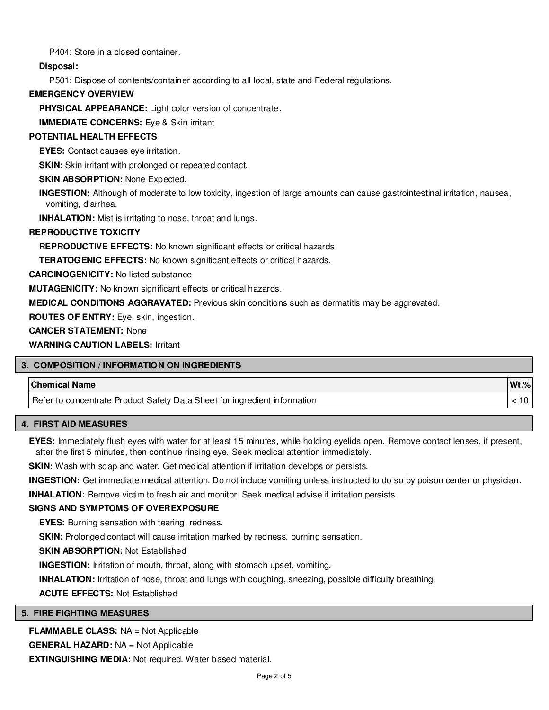P404: Store in a closed container.

**Disposal:**

P501: Dispose of contents/container according to all local, state and Federal regulations.

#### **EMERGENCY OVERVIEW**

**PHYSICAL APPEARANCE:** Light color version of concentrate.

**IMMEDIATE CONCERNS:** Eye & Skin irritant

#### **POTENTIAL HEALTH EFFECTS**

**EYES:** Contact causes eye irritation.

**SKIN:** Skin irritant with prolonged or repeated contact.

#### **SKIN ABSORPTION: None Expected.**

**INGESTION:** Although of moderate to low toxicity, ingestion of large amounts can cause gastrointestinal irritation, nausea, vomiting, diarrhea.

**INHALATION:** Mist is irritating to nose, throat and lungs.

#### **REPRODUCTIVE TOXICITY**

**REPRODUCTIVE EFFECTS:** No known significant effects or critical hazards.

**TERATOGENIC EFFECTS:** No known significant effects or critical hazards.

**CARCINOGENICITY:** No listed substance

**MUTAGENICITY:** No known significant effects or critical hazards.

**MEDICAL CONDITIONS AGGRAVATED:** Previous skin conditions such as dermatitis may be aggrevated.

**ROUTES OF ENTRY:** Eye, skin, ingestion.

**CANCER STATEMENT:** None

**WARNING CAUTION LABELS:** Irritant

#### **3. COMPOSITION / INFORMATION ON INGREDIENTS**

# **Chemical Name Wt.%** Refer to concentrate Product Safety Data Sheet for ingredient information  $\vert$  < 10

#### **4. FIRST AID MEASURES**

**EYES:** Immediately flush eyes with water for at least 15 minutes, while holding eyelids open. Remove contact lenses, if present, after the first 5 minutes, then continue rinsing eye. Seek medical attention immediately.

**SKIN:** Wash with soap and water. Get medical attention if irritation develops or persists.

**INGESTION:** Get immediate medical attention. Do not induce vomiting unless instructed to do so by poison center or physician.

**INHALATION:** Remove victim to fresh air and monitor. Seek medical advise if irritation persists.

#### **SIGNS AND SYMPTOMS OF OVEREXPOSURE**

**EYES:** Burning sensation with tearing, redness.

**SKIN:** Prolonged contact will cause irritation marked by redness, burning sensation.

**SKIN ABSORPTION:** Not Established

**INGESTION:** Irritation of mouth, throat, along with stomach upset, vomiting.

**INHALATION:** Irritation of nose, throat and lungs with coughing, sneezing, possible difficulty breathing.

**ACUTE EFFECTS:** Not Established

#### **5. FIRE FIGHTING MEASURES**

**FLAMMABLE CLASS:** NA = Not Applicable

**GENERAL HAZARD:** NA = Not Applicable

**EXTINGUISHING MEDIA:** Not required. Water based material.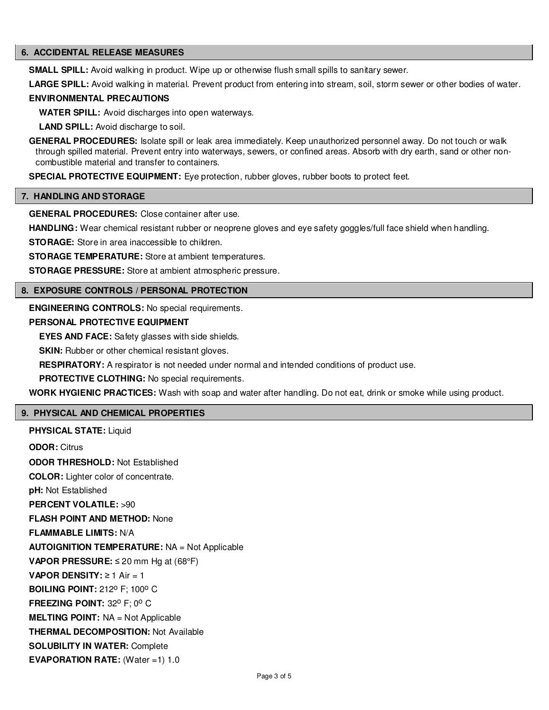#### **6. ACCIDENTAL RELEASE MEASURES**

**SMALL SPILL:** Avoid walking in product. Wipe up or otherwise flush small spills to sanitary sewer.

**LARGE SPILL:** Avoid walking in material. Prevent product from entering into stream, soil, storm sewer or other bodies of water.

#### **ENVIRONMENTAL PRECAUTIONS**

**WATER SPILL:** Avoid discharges into open waterways.

**LAND SPILL:** Avoid discharge to soil.

**GENERAL PROCEDURES:** Isolate spill or leak area immediately. Keep unauthorized personnel away. Do not touch or walk through spilled material. Prevent entry into waterways, sewers, or confined areas. Absorb with dry earth, sand or other noncombustible material and transfer to containers.

**SPECIAL PROTECTIVE EQUIPMENT:** Eye protection, rubber gloves, rubber boots to protect feet.

#### **7. HANDLING AND STORAGE**

**GENERAL PROCEDURES:** Close container after use.

**HANDLING:** Wear chemical resistant rubber or neoprene gloves and eye safety goggles/full face shield when handling.

**STORAGE:** Store in area inaccessible to children.

**STORAGE TEMPERATURE:** Store at ambient temperatures.

**STORAGE PRESSURE:** Store at ambient atmospheric pressure.

#### **8. EXPOSURE CONTROLS / PERSONAL PROTECTION**

**ENGINEERING CONTROLS:** No special requirements.

#### **PERSONAL PROTECTIVE EQUIPMENT**

**EYES AND FACE:** Safety glasses with side shields.

**SKIN:** Rubber or other chemical resistant gloves.

**RESPIRATORY:** A respirator is not needed under normal and intended conditions of product use.

**PROTECTIVE CLOTHING:** No special requirements.

**WORK HYGIENIC PRACTICES:** Wash with soap and water after handling. Do not eat, drink or smoke while using product.

#### **9. PHYSICAL AND CHEMICAL PROPERTIES**

**PHYSICAL STATE: Liquid ODOR:** Citrus **ODOR THRESHOLD:** Not Established **COLOR:** Lighter color of concentrate. **pH:** Not Established **PERCENT VOLATILE:** >90 **FLASH POINT AND METHOD:** None **FLAMMABLE LIMITS:** N/A **AUTOIGNITION TEMPERATURE:** NA = Not Applicable **VAPOR PRESSURE:** ≤ 20 mm Hg at (68°F) **VAPOR DENSITY:** ≥ 1 Air = 1 **BOILING POINT: 212<sup>0</sup> F: 100<sup>0</sup> C FREEZING POINT: 32° F; 0° C MELTING POINT:** NA = Not Applicable **THERMAL DECOMPOSITION:** Not Available **SOLUBILITY IN WATER:** Complete **EVAPORATION RATE:** (Water =1) 1.0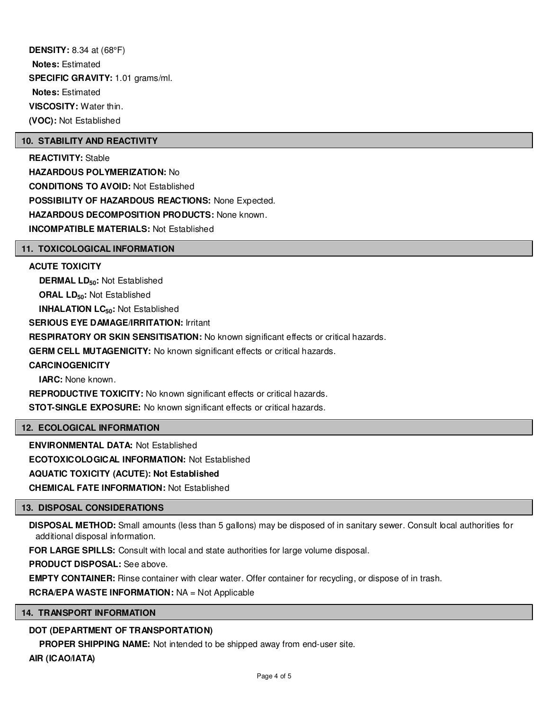**DENSITY:** 8.34 at (68°F) **Notes:** Estimated **SPECIFIC GRAVITY:** 1.01 grams/ml. **Notes:** Estimated **VISCOSITY:** Water thin. **(VOC):** Not Established

#### **10. STABILITY AND REACTIVITY**

**REACTIVITY:** Stable **HAZARDOUS POLYMERIZATION:** No **CONDITIONS TO AVOID:** Not Established **POSSIBILITY OF HAZARDOUS REACTIONS:** None Expected. **HAZARDOUS DECOMPOSITION PRODUCTS:** None known. **INCOMPATIBLE MATERIALS:** Not Established

#### **11. TOXICOLOGICAL INFORMATION**

#### **ACUTE TOXICITY**

**DERMAL LD50:** Not Established **ORAL LD50:** Not Established **INHALATION LC50:** Not Established **SERIOUS EYE DAMAGE/IRRITATION:** Irritant **RESPIRATORY OR SKIN SENSITISATION:** No known significant effects or critical hazards. **GERM CELL MUTAGENICITY:** No known significant effects or critical hazards. **CARCINOGENICITY IARC:** None known.

**REPRODUCTIVE TOXICITY:** No known significant effects or critical hazards.

**STOT-SINGLE EXPOSURE:** No known significant effects or critical hazards.

#### **12. ECOLOGICAL INFORMATION**

**ENVIRONMENTAL DATA:** Not Established

**ECOTOXICOLOGICAL INFORMATION:** Not Established

**AQUATIC TOXICITY (ACUTE): Not Established**

**CHEMICAL FATE INFORMATION:** Not Established

#### **13. DISPOSAL CONSIDERATIONS**

**DISPOSAL METHOD:** Small amounts (less than 5 gallons) may be disposed of in sanitary sewer. Consult local authorities for additional disposal information.

**FOR LARGE SPILLS:** Consult with local and state authorities for large volume disposal.

**PRODUCT DISPOSAL:** See above.

**EMPTY CONTAINER:** Rinse container with clear water. Offer container for recycling, or dispose of in trash.

**RCRA/EPA WASTE INFORMATION:** NA = Not Applicable

#### **14. TRANSPORT INFORMATION**

#### **DOT (DEPARTMENT OF TRANSPORTATION)**

**PROPER SHIPPING NAME:** Not intended to be shipped away from end-user site.

**AIR (ICAO/IATA)**